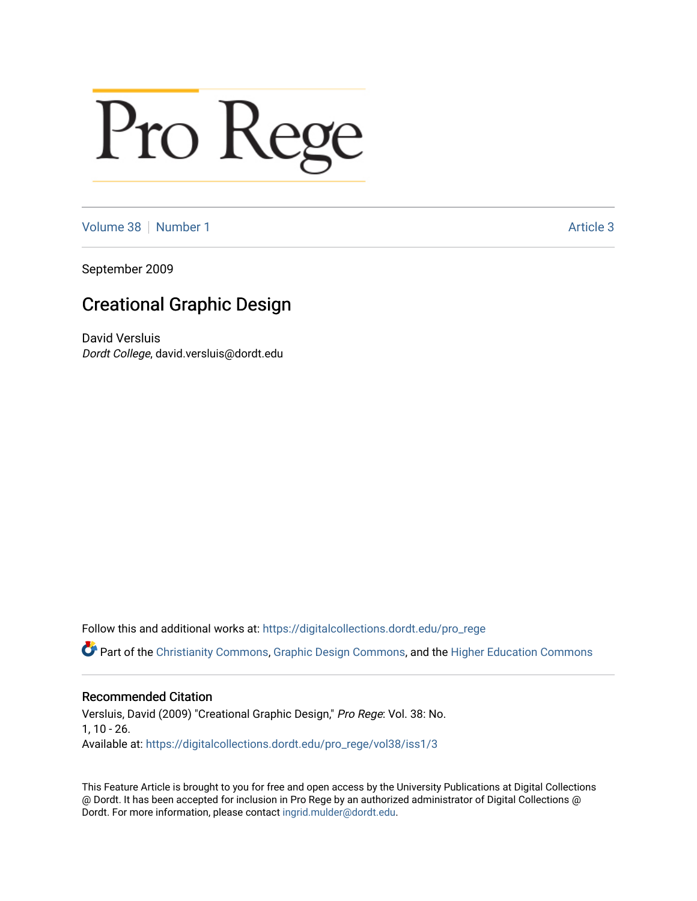# Pro Rege

[Volume 38](https://digitalcollections.dordt.edu/pro_rege/vol38) [Number 1](https://digitalcollections.dordt.edu/pro_rege/vol38/iss1) Article 3

September 2009

### Creational Graphic Design

David Versluis Dordt College, david.versluis@dordt.edu

Follow this and additional works at: [https://digitalcollections.dordt.edu/pro\\_rege](https://digitalcollections.dordt.edu/pro_rege?utm_source=digitalcollections.dordt.edu%2Fpro_rege%2Fvol38%2Fiss1%2F3&utm_medium=PDF&utm_campaign=PDFCoverPages) 

Part of the [Christianity Commons,](http://network.bepress.com/hgg/discipline/1181?utm_source=digitalcollections.dordt.edu%2Fpro_rege%2Fvol38%2Fiss1%2F3&utm_medium=PDF&utm_campaign=PDFCoverPages) [Graphic Design Commons](http://network.bepress.com/hgg/discipline/1134?utm_source=digitalcollections.dordt.edu%2Fpro_rege%2Fvol38%2Fiss1%2F3&utm_medium=PDF&utm_campaign=PDFCoverPages), and the [Higher Education Commons](http://network.bepress.com/hgg/discipline/1245?utm_source=digitalcollections.dordt.edu%2Fpro_rege%2Fvol38%2Fiss1%2F3&utm_medium=PDF&utm_campaign=PDFCoverPages) 

#### Recommended Citation

Versluis, David (2009) "Creational Graphic Design," Pro Rege: Vol. 38: No. 1, 10 - 26. Available at: [https://digitalcollections.dordt.edu/pro\\_rege/vol38/iss1/3](https://digitalcollections.dordt.edu/pro_rege/vol38/iss1/3?utm_source=digitalcollections.dordt.edu%2Fpro_rege%2Fvol38%2Fiss1%2F3&utm_medium=PDF&utm_campaign=PDFCoverPages) 

This Feature Article is brought to you for free and open access by the University Publications at Digital Collections @ Dordt. It has been accepted for inclusion in Pro Rege by an authorized administrator of Digital Collections @ Dordt. For more information, please contact [ingrid.mulder@dordt.edu.](mailto:ingrid.mulder@dordt.edu)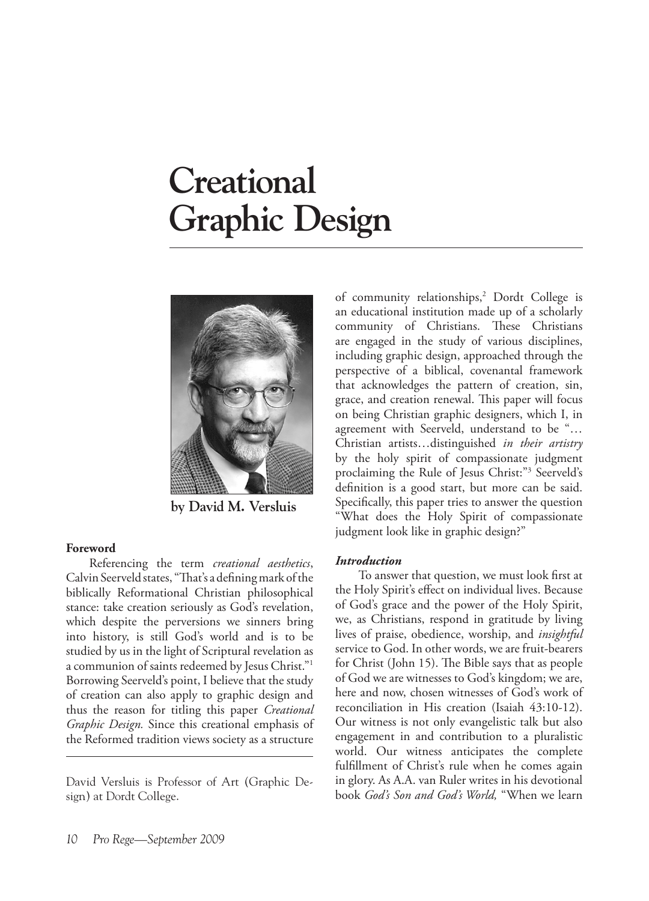## **Creational Graphic Design**



**by David M. Versluis**

#### **Foreword**

Referencing the term *creational aesthetics*, Calvin Seerveld states, "That's a defining mark of the biblically Reformational Christian philosophical stance: take creation seriously as God's revelation, which despite the perversions we sinners bring into history, is still God's world and is to be studied by us in the light of Scriptural revelation as a communion of saints redeemed by Jesus Christ."1 Borrowing Seerveld's point, I believe that the study of creation can also apply to graphic design and thus the reason for titling this paper *Creational Graphic Design.* Since this creational emphasis of the Reformed tradition views society as a structure

David Versluis is Professor of Art (Graphic Design) at Dordt College.

of community relationships,2 Dordt College is an educational institution made up of a scholarly community of Christians. These Christians are engaged in the study of various disciplines, including graphic design, approached through the perspective of a biblical, covenantal framework that acknowledges the pattern of creation, sin, grace, and creation renewal. This paper will focus on being Christian graphic designers, which I, in agreement with Seerveld, understand to be "… Christian artists…distinguished *in their artistry* by the holy spirit of compassionate judgment proclaiming the Rule of Jesus Christ:"3 Seerveld's definition is a good start, but more can be said. Specifically, this paper tries to answer the question "What does the Holy Spirit of compassionate judgment look like in graphic design?"

#### *Introduction*

To answer that question, we must look first at the Holy Spirit's effect on individual lives. Because of God's grace and the power of the Holy Spirit, we, as Christians, respond in gratitude by living lives of praise, obedience, worship, and *insightful* service to God. In other words, we are fruit-bearers for Christ (John 15). The Bible says that as people of God we are witnesses to God's kingdom; we are, here and now, chosen witnesses of God's work of reconciliation in His creation (Isaiah 43:10-12). Our witness is not only evangelistic talk but also engagement in and contribution to a pluralistic world. Our witness anticipates the complete fulfillment of Christ's rule when he comes again in glory. As A.A. van Ruler writes in his devotional book *God's Son and God's World,* "When we learn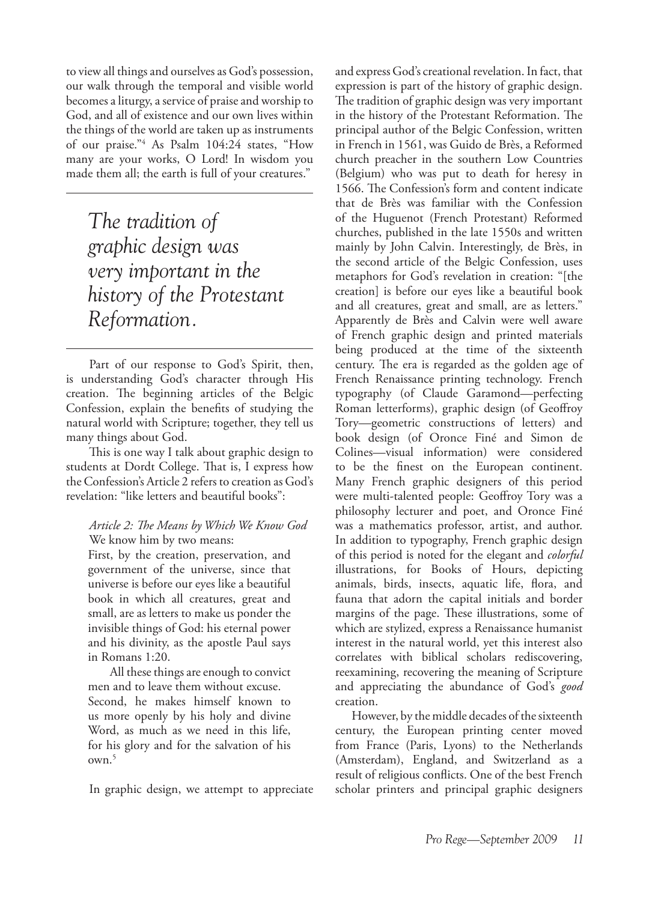to view all things and ourselves as God's possession, our walk through the temporal and visible world becomes a liturgy, a service of praise and worship to God, and all of existence and our own lives within the things of the world are taken up as instruments of our praise."4 As Psalm 104:24 states, "How many are your works, O Lord! In wisdom you made them all; the earth is full of your creatures."

*The tradition of graphic design was very important in the history of the Protestant Reformation.*

Part of our response to God's Spirit, then, is understanding God's character through His creation. The beginning articles of the Belgic Confession, explain the benefits of studying the natural world with Scripture; together, they tell us many things about God.

This is one way I talk about graphic design to students at Dordt College. That is, I express how the Confession's Article 2 refers to creation as God's revelation: "like letters and beautiful books":

#### *Article 2: The Means by Which We Know God* We know him by two means:

First, by the creation, preservation, and government of the universe, since that universe is before our eyes like a beautiful book in which all creatures, great and small, are as letters to make us ponder the invisible things of God: his eternal power and his divinity, as the apostle Paul says in Romans 1:20.

 All these things are enough to convict men and to leave them without excuse. Second, he makes himself known to us more openly by his holy and divine Word, as much as we need in this life, for his glory and for the salvation of his own.5

In graphic design, we attempt to appreciate

and express God's creational revelation. In fact, that expression is part of the history of graphic design. The tradition of graphic design was very important in the history of the Protestant Reformation. The principal author of the Belgic Confession, written in French in 1561, was Guido de Brès, a Reformed church preacher in the southern Low Countries (Belgium) who was put to death for heresy in 1566. The Confession's form and content indicate that de Brès was familiar with the Confession of the Huguenot (French Protestant) Reformed churches, published in the late 1550s and written mainly by John Calvin. Interestingly, de Brès, in the second article of the Belgic Confession, uses metaphors for God's revelation in creation: "[the creation] is before our eyes like a beautiful book and all creatures, great and small, are as letters." Apparently de Brès and Calvin were well aware of French graphic design and printed materials being produced at the time of the sixteenth century. The era is regarded as the golden age of French Renaissance printing technology. French typography (of Claude Garamond—perfecting Roman letterforms), graphic design (of Geoffroy Tory—geometric constructions of letters) and book design (of Oronce Finé and Simon de Colines—visual information) were considered to be the finest on the European continent. Many French graphic designers of this period were multi-talented people: Geoffroy Tory was a philosophy lecturer and poet, and Oronce Finé was a mathematics professor, artist, and author. In addition to typography, French graphic design of this period is noted for the elegant and *colorful* illustrations, for Books of Hours, depicting animals, birds, insects, aquatic life, flora, and fauna that adorn the capital initials and border margins of the page. These illustrations, some of which are stylized, express a Renaissance humanist interest in the natural world, yet this interest also correlates with biblical scholars rediscovering, reexamining, recovering the meaning of Scripture and appreciating the abundance of God's *good* creation.

 However, by the middle decades of the sixteenth century, the European printing center moved from France (Paris, Lyons) to the Netherlands (Amsterdam), England, and Switzerland as a result of religious conflicts. One of the best French scholar printers and principal graphic designers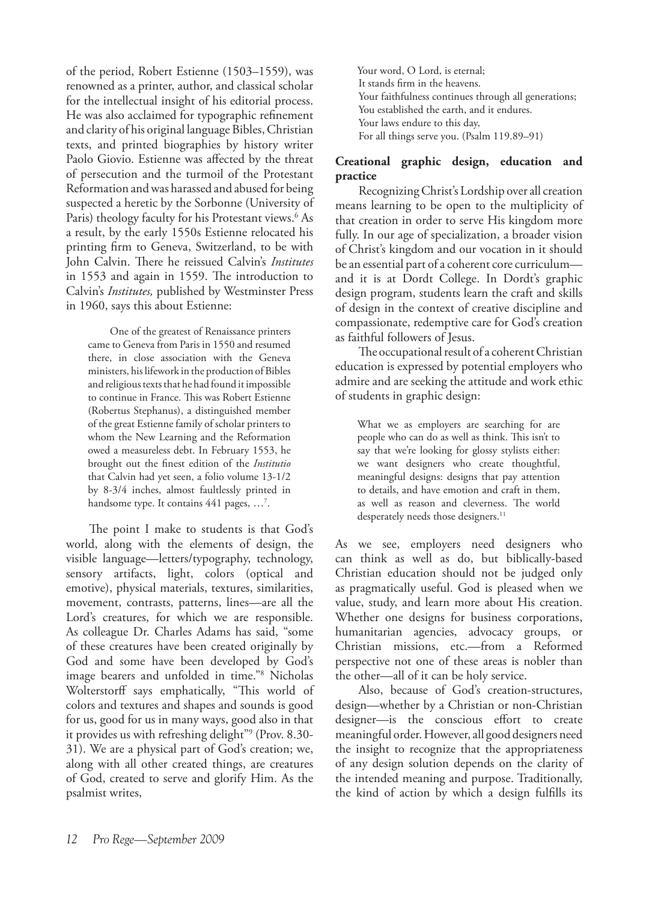of the period, Robert Estienne (1503–1559), was renowned as a printer, author, and classical scholar for the intellectual insight of his editorial process. He was also acclaimed for typographic refinement and clarity of his original language Bibles, Christian texts, and printed biographies by history writer Paolo Giovio. Estienne was affected by the threat of persecution and the turmoil of the Protestant Reformation and was harassed and abused for being suspected a heretic by the Sorbonne (University of Paris) theology faculty for his Protestant views.<sup>6</sup> As a result, by the early 1550s Estienne relocated his printing firm to Geneva, Switzerland, to be with John Calvin. There he reissued Calvin's *Institutes* in 1553 and again in 1559. The introduction to Calvin's *Institutes,* published by Westminster Press in 1960, says this about Estienne:

One of the greatest of Renaissance printers came to Geneva from Paris in 1550 and resumed there, in close association with the Geneva ministers, his lifework in the production of Bibles and religious texts that he had found it impossible to continue in France. This was Robert Estienne (Robertus Stephanus), a distinguished member of the great Estienne family of scholar printers to whom the New Learning and the Reformation owed a measureless debt. In February 1553, he brought out the finest edition of the *Institutio* that Calvin had yet seen, a folio volume 13-1/2 by 8-3/4 inches, almost faultlessly printed in handsome type. It contains 441 pages, …7 .

The point I make to students is that God's world, along with the elements of design, the visible language—letters/typography, technology, sensory artifacts, light, colors (optical and emotive), physical materials, textures, similarities, movement, contrasts, patterns, lines—are all the Lord's creatures, for which we are responsible. As colleague Dr. Charles Adams has said, "some of these creatures have been created originally by God and some have been developed by God's image bearers and unfolded in time."8 Nicholas Wolterstorff says emphatically, "This world of colors and textures and shapes and sounds is good for us, good for us in many ways, good also in that it provides us with refreshing delight"<sup>9</sup> (Prov. 8.30-31). We are a physical part of God's creation; we, along with all other created things, are creatures of God, created to serve and glorify Him. As the psalmist writes,

Your word, O Lord, is eternal; It stands firm in the heavens. Your faithfulness continues through all generations; You established the earth, and it endures. Your laws endure to this day, For all things serve you. (Psalm 119.89–91)

#### **Creational graphic design, education and practice**

Recognizing Christ's Lordship over all creation means learning to be open to the multiplicity of that creation in order to serve His kingdom more fully. In our age of specialization, a broader vision of Christ's kingdom and our vocation in it should be an essential part of a coherent core curriculum and it is at Dordt College. In Dordt's graphic design program, students learn the craft and skills of design in the context of creative discipline and compassionate, redemptive care for God's creation as faithful followers of Jesus.

The occupational result of a coherent Christian education is expressed by potential employers who admire and are seeking the attitude and work ethic of students in graphic design:

What we as employers are searching for are people who can do as well as think. This isn't to say that we're looking for glossy stylists either: we want designers who create thoughtful, meaningful designs: designs that pay attention to details, and have emotion and craft in them, as well as reason and cleverness. The world desperately needs those designers.<sup>11</sup>

As we see, employers need designers who can think as well as do, but biblically-based Christian education should not be judged only as pragmatically useful. God is pleased when we value, study, and learn more about His creation. Whether one designs for business corporations, humanitarian agencies, advocacy groups, or Christian missions, etc.—from a Reformed perspective not one of these areas is nobler than the other—all of it can be holy service.

Also, because of God's creation-structures, design—whether by a Christian or non-Christian designer—is the conscious effort to create meaningful order. However, all good designers need the insight to recognize that the appropriateness of any design solution depends on the clarity of the intended meaning and purpose. Traditionally, the kind of action by which a design fulfills its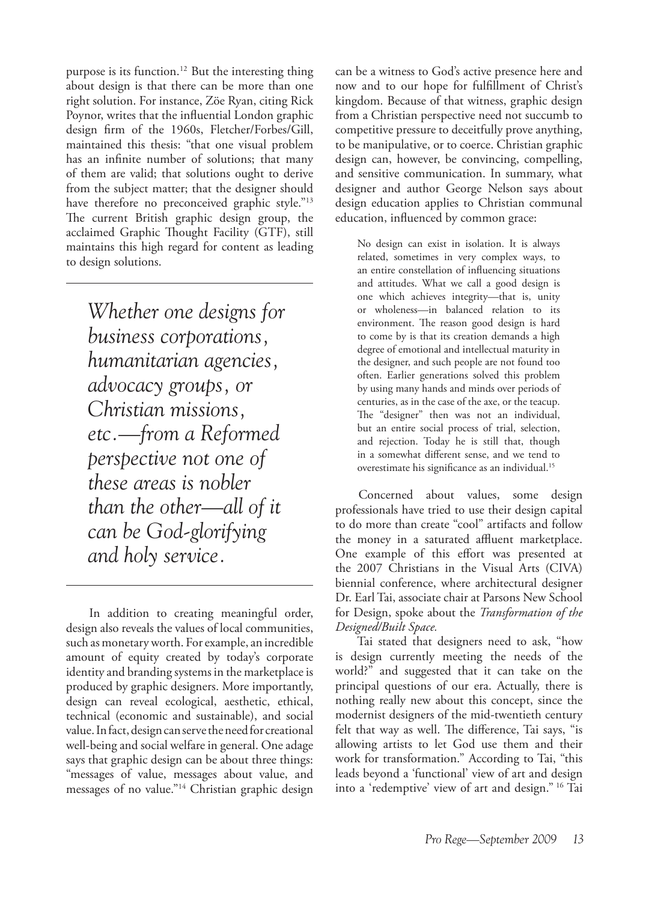purpose is its function.<sup>12</sup> But the interesting thing about design is that there can be more than one right solution. For instance, Zöe Ryan, citing Rick Poynor, writes that the influential London graphic design firm of the 1960s, Fletcher/Forbes/Gill, maintained this thesis: "that one visual problem has an infinite number of solutions; that many of them are valid; that solutions ought to derive from the subject matter; that the designer should have therefore no preconceived graphic style."<sup>13</sup> The current British graphic design group, the acclaimed Graphic Thought Facility (GTF), still maintains this high regard for content as leading to design solutions.

*Whether one designs for business corporations, humanitarian agencies, advocacy groups, or Christian missions, etc.—from a Reformed perspective not one of these areas is nobler than the other—all of it can be God-glorifying and holy service.*

In addition to creating meaningful order, design also reveals the values of local communities, such as monetary worth. For example, an incredible amount of equity created by today's corporate identity and branding systems in the marketplace is produced by graphic designers. More importantly, design can reveal ecological, aesthetic, ethical, technical (economic and sustainable), and social value. In fact, design can serve the need for creational well-being and social welfare in general. One adage says that graphic design can be about three things: "messages of value, messages about value, and messages of no value."14 Christian graphic design

can be a witness to God's active presence here and now and to our hope for fulfillment of Christ's kingdom. Because of that witness, graphic design from a Christian perspective need not succumb to competitive pressure to deceitfully prove anything, to be manipulative, or to coerce. Christian graphic design can, however, be convincing, compelling, and sensitive communication. In summary, what designer and author George Nelson says about design education applies to Christian communal education, influenced by common grace:

No design can exist in isolation. It is always related, sometimes in very complex ways, to an entire constellation of influencing situations and attitudes. What we call a good design is one which achieves integrity—that is, unity or wholeness—in balanced relation to its environment. The reason good design is hard to come by is that its creation demands a high degree of emotional and intellectual maturity in the designer, and such people are not found too often. Earlier generations solved this problem by using many hands and minds over periods of centuries, as in the case of the axe, or the teacup. The "designer" then was not an individual, but an entire social process of trial, selection, and rejection. Today he is still that, though in a somewhat different sense, and we tend to overestimate his significance as an individual.15

Concerned about values, some design professionals have tried to use their design capital to do more than create "cool" artifacts and follow the money in a saturated affluent marketplace. One example of this effort was presented at the 2007 Christians in the Visual Arts (CIVA) biennial conference, where architectural designer Dr. Earl Tai, associate chair at Parsons New School for Design, spoke about the *Transformation of the Designed/Built Space.* 

Tai stated that designers need to ask, "how is design currently meeting the needs of the world?" and suggested that it can take on the principal questions of our era. Actually, there is nothing really new about this concept, since the modernist designers of the mid-twentieth century felt that way as well. The difference, Tai says, "is allowing artists to let God use them and their work for transformation." According to Tai, "this leads beyond a 'functional' view of art and design into a 'redemptive' view of art and design." 16 Tai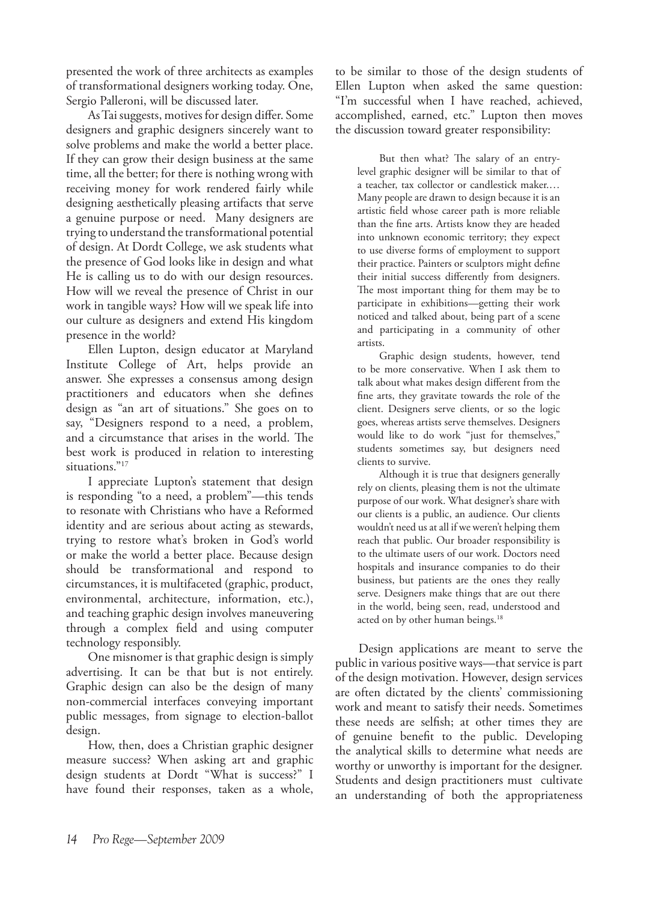presented the work of three architects as examples of transformational designers working today. One, Sergio Palleroni, will be discussed later.

As Tai suggests, motives for design differ. Some designers and graphic designers sincerely want to solve problems and make the world a better place. If they can grow their design business at the same time, all the better; for there is nothing wrong with receiving money for work rendered fairly while designing aesthetically pleasing artifacts that serve a genuine purpose or need. Many designers are trying to understand the transformational potential of design. At Dordt College, we ask students what the presence of God looks like in design and what He is calling us to do with our design resources. How will we reveal the presence of Christ in our work in tangible ways? How will we speak life into our culture as designers and extend His kingdom presence in the world?

Ellen Lupton, design educator at Maryland Institute College of Art, helps provide an answer. She expresses a consensus among design practitioners and educators when she defines design as "an art of situations." She goes on to say, "Designers respond to a need, a problem, and a circumstance that arises in the world. The best work is produced in relation to interesting situations."<sup>17</sup>

I appreciate Lupton's statement that design is responding "to a need, a problem"—this tends to resonate with Christians who have a Reformed identity and are serious about acting as stewards, trying to restore what's broken in God's world or make the world a better place. Because design should be transformational and respond to circumstances, it is multifaceted (graphic, product, environmental, architecture, information, etc.), and teaching graphic design involves maneuvering through a complex field and using computer technology responsibly.

One misnomer is that graphic design is simply advertising. It can be that but is not entirely. Graphic design can also be the design of many non-commercial interfaces conveying important public messages, from signage to election-ballot design.

How, then, does a Christian graphic designer measure success? When asking art and graphic design students at Dordt "What is success?" I have found their responses, taken as a whole,

to be similar to those of the design students of Ellen Lupton when asked the same question: "I'm successful when I have reached, achieved, accomplished, earned, etc." Lupton then moves the discussion toward greater responsibility:

 But then what? The salary of an entrylevel graphic designer will be similar to that of a teacher, tax collector or candlestick maker.… Many people are drawn to design because it is an artistic field whose career path is more reliable than the fine arts. Artists know they are headed into unknown economic territory; they expect to use diverse forms of employment to support their practice. Painters or sculptors might define their initial success differently from designers. The most important thing for them may be to participate in exhibitions—getting their work noticed and talked about, being part of a scene and participating in a community of other artists.

 Graphic design students, however, tend to be more conservative. When I ask them to talk about what makes design different from the fine arts, they gravitate towards the role of the client. Designers serve clients, or so the logic goes, whereas artists serve themselves. Designers would like to do work "just for themselves," students sometimes say, but designers need clients to survive.

 Although it is true that designers generally rely on clients, pleasing them is not the ultimate purpose of our work. What designer's share with our clients is a public, an audience. Our clients wouldn't need us at all if we weren't helping them reach that public. Our broader responsibility is to the ultimate users of our work. Doctors need hospitals and insurance companies to do their business, but patients are the ones they really serve. Designers make things that are out there in the world, being seen, read, understood and acted on by other human beings.<sup>18</sup>

Design applications are meant to serve the public in various positive ways—that service is part of the design motivation. However, design services are often dictated by the clients' commissioning work and meant to satisfy their needs. Sometimes these needs are selfish; at other times they are of genuine benefit to the public. Developing the analytical skills to determine what needs are worthy or unworthy is important for the designer. Students and design practitioners must cultivate an understanding of both the appropriateness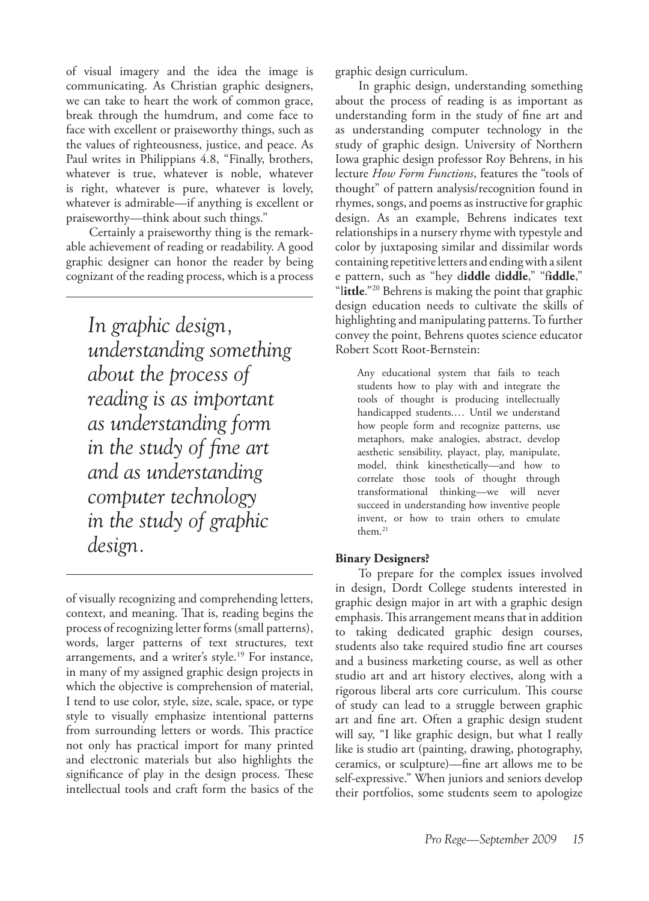of visual imagery and the idea the image is communicating. As Christian graphic designers, we can take to heart the work of common grace, break through the humdrum, and come face to face with excellent or praiseworthy things, such as the values of righteousness, justice, and peace. As Paul writes in Philippians 4.8, "Finally, brothers, whatever is true, whatever is noble, whatever is right, whatever is pure, whatever is lovely, whatever is admirable—if anything is excellent or praiseworthy—think about such things."

Certainly a praiseworthy thing is the remarkable achievement of reading or readability. A good graphic designer can honor the reader by being cognizant of the reading process, which is a process

*In graphic design, understanding something about the process of reading is as important as understanding form in the study of fine art and as understanding computer technology in the study of graphic design.*

of visually recognizing and comprehending letters, context, and meaning. That is, reading begins the process of recognizing letter forms (small patterns), words, larger patterns of text structures, text arrangements, and a writer's style.<sup>19</sup> For instance, in many of my assigned graphic design projects in which the objective is comprehension of material, I tend to use color, style, size, scale, space, or type style to visually emphasize intentional patterns from surrounding letters or words. This practice not only has practical import for many printed and electronic materials but also highlights the significance of play in the design process. These intellectual tools and craft form the basics of the

graphic design curriculum.

In graphic design, understanding something about the process of reading is as important as understanding form in the study of fine art and as understanding computer technology in the study of graphic design. University of Northern Iowa graphic design professor Roy Behrens, in his lecture *How Form Functions*, features the "tools of thought" of pattern analysis/recognition found in rhymes, songs, and poems as instructive for graphic design. As an example, Behrens indicates text relationships in a nursery rhyme with typestyle and color by juxtaposing similar and dissimilar words containing repetitive letters and ending with a silent e pattern, such as "hey d**iddle** d**iddle**," "f**iddle**," "l**ittle**."20 Behrens is making the point that graphic design education needs to cultivate the skills of highlighting and manipulating patterns. To further convey the point, Behrens quotes science educator Robert Scott Root-Bernstein:

Any educational system that fails to teach students how to play with and integrate the tools of thought is producing intellectually handicapped students.… Until we understand how people form and recognize patterns, use metaphors, make analogies, abstract, develop aesthetic sensibility, playact, play, manipulate, model, think kinesthetically—and how to correlate those tools of thought through transformational thinking—we will never succeed in understanding how inventive people invent, or how to train others to emulate them.21

#### **Binary Designers?**

To prepare for the complex issues involved in design, Dordt College students interested in graphic design major in art with a graphic design emphasis. This arrangement means that in addition to taking dedicated graphic design courses, students also take required studio fine art courses and a business marketing course, as well as other studio art and art history electives, along with a rigorous liberal arts core curriculum. This course of study can lead to a struggle between graphic art and fine art. Often a graphic design student will say, "I like graphic design, but what I really like is studio art (painting, drawing, photography, ceramics, or sculpture)—fine art allows me to be self-expressive." When juniors and seniors develop their portfolios, some students seem to apologize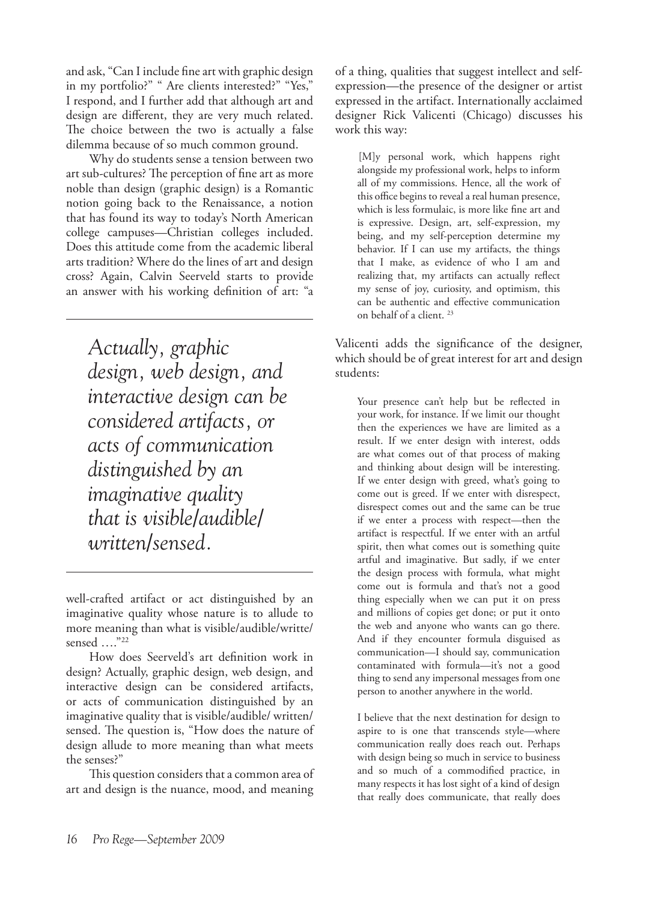and ask, "Can I include fine art with graphic design in my portfolio?" " Are clients interested?" "Yes," I respond, and I further add that although art and design are different, they are very much related. The choice between the two is actually a false dilemma because of so much common ground.

Why do students sense a tension between two art sub-cultures? The perception of fine art as more noble than design (graphic design) is a Romantic notion going back to the Renaissance, a notion that has found its way to today's North American college campuses—Christian colleges included. Does this attitude come from the academic liberal arts tradition? Where do the lines of art and design cross? Again, Calvin Seerveld starts to provide an answer with his working definition of art: "a

*Actually, graphic design, web design, and interactive design can be considered artifacts, or acts of communication distinguished by an imaginative quality that is visible/audible/ written/sensed.*

well-crafted artifact or act distinguished by an imaginative quality whose nature is to allude to more meaning than what is visible/audible/writte/ sensed …."22

How does Seerveld's art definition work in design? Actually, graphic design, web design, and interactive design can be considered artifacts, or acts of communication distinguished by an imaginative quality that is visible/audible/ written/ sensed. The question is, "How does the nature of design allude to more meaning than what meets the senses?"

This question considers that a common area of art and design is the nuance, mood, and meaning

of a thing, qualities that suggest intellect and selfexpression—the presence of the designer or artist expressed in the artifact. Internationally acclaimed designer Rick Valicenti (Chicago) discusses his work this way:

[M]y personal work, which happens right alongside my professional work, helps to inform all of my commissions. Hence, all the work of this office begins to reveal a real human presence, which is less formulaic, is more like fine art and is expressive. Design, art, self-expression, my being, and my self-perception determine my behavior. If I can use my artifacts, the things that I make, as evidence of who I am and realizing that, my artifacts can actually reflect my sense of joy, curiosity, and optimism, this can be authentic and effective communication on behalf of a client. 23

Valicenti adds the significance of the designer, which should be of great interest for art and design students:

Your presence can't help but be reflected in your work, for instance. If we limit our thought then the experiences we have are limited as a result. If we enter design with interest, odds are what comes out of that process of making and thinking about design will be interesting. If we enter design with greed, what's going to come out is greed. If we enter with disrespect, disrespect comes out and the same can be true if we enter a process with respect—then the artifact is respectful. If we enter with an artful spirit, then what comes out is something quite artful and imaginative. But sadly, if we enter the design process with formula, what might come out is formula and that's not a good thing especially when we can put it on press and millions of copies get done; or put it onto the web and anyone who wants can go there. And if they encounter formula disguised as communication—I should say, communication contaminated with formula—it's not a good thing to send any impersonal messages from one person to another anywhere in the world.

I believe that the next destination for design to aspire to is one that transcends style—where communication really does reach out. Perhaps with design being so much in service to business and so much of a commodified practice, in many respects it has lost sight of a kind of design that really does communicate, that really does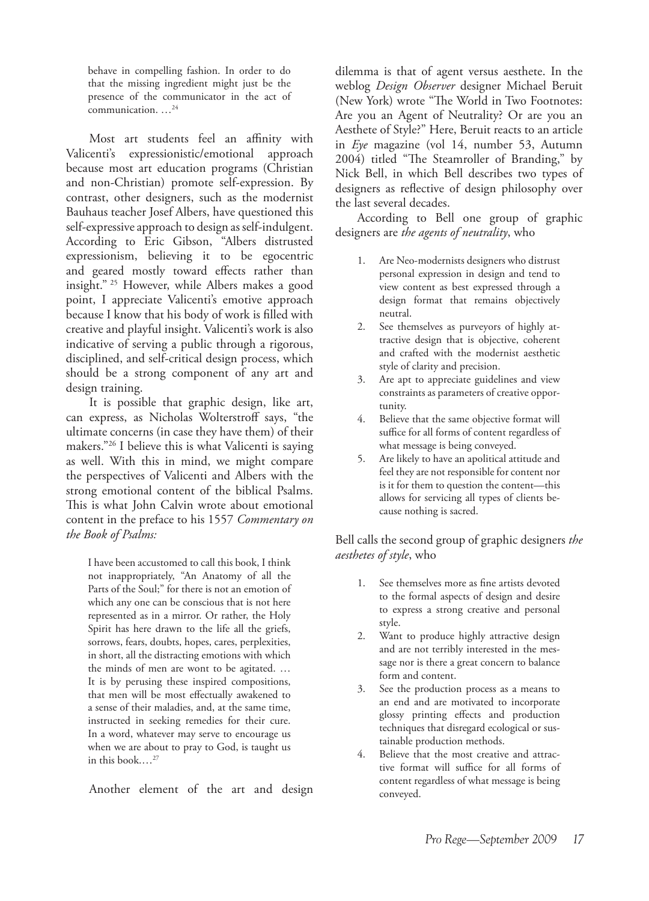behave in compelling fashion. In order to do that the missing ingredient might just be the presence of the communicator in the act of communication. …24

Most art students feel an affinity with Valicenti's expressionistic/emotional approach because most art education programs (Christian and non-Christian) promote self-expression. By contrast, other designers, such as the modernist Bauhaus teacher Josef Albers, have questioned this self-expressive approach to design as self-indulgent. According to Eric Gibson, "Albers distrusted expressionism, believing it to be egocentric and geared mostly toward effects rather than insight." 25 However, while Albers makes a good point, I appreciate Valicenti's emotive approach because I know that his body of work is filled with creative and playful insight. Valicenti's work is also indicative of serving a public through a rigorous, disciplined, and self-critical design process, which should be a strong component of any art and design training.

It is possible that graphic design, like art, can express, as Nicholas Wolterstroff says, "the ultimate concerns (in case they have them) of their makers."26 I believe this is what Valicenti is saying as well. With this in mind, we might compare the perspectives of Valicenti and Albers with the strong emotional content of the biblical Psalms. This is what John Calvin wrote about emotional content in the preface to his 1557 *Commentary on the Book of Psalms:*

I have been accustomed to call this book, I think not inappropriately, "An Anatomy of all the Parts of the Soul;" for there is not an emotion of which any one can be conscious that is not here represented as in a mirror. Or rather, the Holy Spirit has here drawn to the life all the griefs, sorrows, fears, doubts, hopes, cares, perplexities, in short, all the distracting emotions with which the minds of men are wont to be agitated. … It is by perusing these inspired compositions, that men will be most effectually awakened to a sense of their maladies, and, at the same time, instructed in seeking remedies for their cure. In a word, whatever may serve to encourage us when we are about to pray to God, is taught us in this book.…27

Another element of the art and design

dilemma is that of agent versus aesthete. In the weblog *Design Observer* designer Michael Beruit (New York) wrote "The World in Two Footnotes: Are you an Agent of Neutrality? Or are you an Aesthete of Style?" Here, Beruit reacts to an article in *Eye* magazine (vol 14, number 53, Autumn 2004) titled "The Steamroller of Branding," by Nick Bell, in which Bell describes two types of designers as reflective of design philosophy over the last several decades.

According to Bell one group of graphic designers are *the agents of neutrality*, who

- 1. Are Neo-modernists designers who distrust personal expression in design and tend to view content as best expressed through a design format that remains objectively neutral.
- 2. See themselves as purveyors of highly attractive design that is objective, coherent and crafted with the modernist aesthetic style of clarity and precision.
- 3. Are apt to appreciate guidelines and view constraints as parameters of creative opportunity.
- 4. Believe that the same objective format will suffice for all forms of content regardless of what message is being conveyed.
- 5. Are likely to have an apolitical attitude and feel they are not responsible for content nor is it for them to question the content—this allows for servicing all types of clients because nothing is sacred.

Bell calls the second group of graphic designers *the aesthetes of style*, who

- 1. See themselves more as fine artists devoted to the formal aspects of design and desire to express a strong creative and personal style.
- 2. Want to produce highly attractive design and are not terribly interested in the message nor is there a great concern to balance form and content.
- 3. See the production process as a means to an end and are motivated to incorporate glossy printing effects and production techniques that disregard ecological or sustainable production methods.
- 4. Believe that the most creative and attractive format will suffice for all forms of content regardless of what message is being conveyed.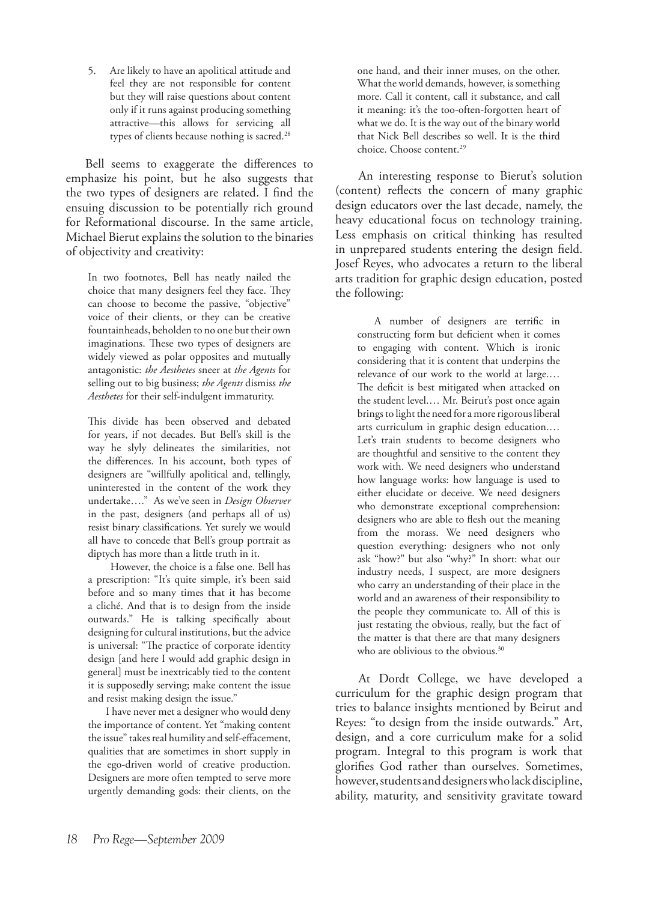5. Are likely to have an apolitical attitude and feel they are not responsible for content but they will raise questions about content only if it runs against producing something attractive—this allows for servicing all types of clients because nothing is sacred.<sup>28</sup>

Bell seems to exaggerate the differences to emphasize his point, but he also suggests that the two types of designers are related. I find the ensuing discussion to be potentially rich ground for Reformational discourse. In the same article, Michael Bierut explains the solution to the binaries of objectivity and creativity:

In two footnotes, Bell has neatly nailed the choice that many designers feel they face. They can choose to become the passive, "objective" voice of their clients, or they can be creative fountainheads, beholden to no one but their own imaginations. These two types of designers are widely viewed as polar opposites and mutually antagonistic: *the Aesthetes* sneer at *the Agents* for selling out to big business; *the Agents* dismiss *the Aesthetes* for their self-indulgent immaturity.

This divide has been observed and debated for years, if not decades. But Bell's skill is the way he slyly delineates the similarities, not the differences. In his account, both types of designers are "willfully apolitical and, tellingly, uninterested in the content of the work they undertake…." As we've seen in *Design Observer* in the past, designers (and perhaps all of us) resist binary classifications. Yet surely we would all have to concede that Bell's group portrait as diptych has more than a little truth in it.

 However, the choice is a false one. Bell has a prescription: "It's quite simple, it's been said before and so many times that it has become a cliché. And that is to design from the inside outwards." He is talking specifically about designing for cultural institutions, but the advice is universal: "The practice of corporate identity design [and here I would add graphic design in general] must be inextricably tied to the content it is supposedly serving; make content the issue and resist making design the issue."

 I have never met a designer who would deny the importance of content. Yet "making content the issue" takes real humility and self-effacement, qualities that are sometimes in short supply in the ego-driven world of creative production. Designers are more often tempted to serve more urgently demanding gods: their clients, on the one hand, and their inner muses, on the other. What the world demands, however, is something more. Call it content, call it substance, and call it meaning: it's the too-often-forgotten heart of what we do. It is the way out of the binary world that Nick Bell describes so well. It is the third choice. Choose content.<sup>29</sup>

An interesting response to Bierut's solution (content) reflects the concern of many graphic design educators over the last decade, namely, the heavy educational focus on technology training. Less emphasis on critical thinking has resulted in unprepared students entering the design field. Josef Reyes, who advocates a return to the liberal arts tradition for graphic design education, posted the following:

A number of designers are terrific in constructing form but deficient when it comes to engaging with content. Which is ironic considering that it is content that underpins the relevance of our work to the world at large.… The deficit is best mitigated when attacked on the student level.… Mr. Beirut's post once again brings to light the need for a more rigorous liberal arts curriculum in graphic design education.… Let's train students to become designers who are thoughtful and sensitive to the content they work with. We need designers who understand how language works: how language is used to either elucidate or deceive. We need designers who demonstrate exceptional comprehension: designers who are able to flesh out the meaning from the morass. We need designers who question everything: designers who not only ask "how?" but also "why?" In short: what our industry needs, I suspect, are more designers who carry an understanding of their place in the world and an awareness of their responsibility to the people they communicate to. All of this is just restating the obvious, really, but the fact of the matter is that there are that many designers who are oblivious to the obvious.<sup>30</sup>

At Dordt College, we have developed a curriculum for the graphic design program that tries to balance insights mentioned by Beirut and Reyes: "to design from the inside outwards." Art, design, and a core curriculum make for a solid program. Integral to this program is work that glorifies God rather than ourselves. Sometimes, however, students and designers who lack discipline, ability, maturity, and sensitivity gravitate toward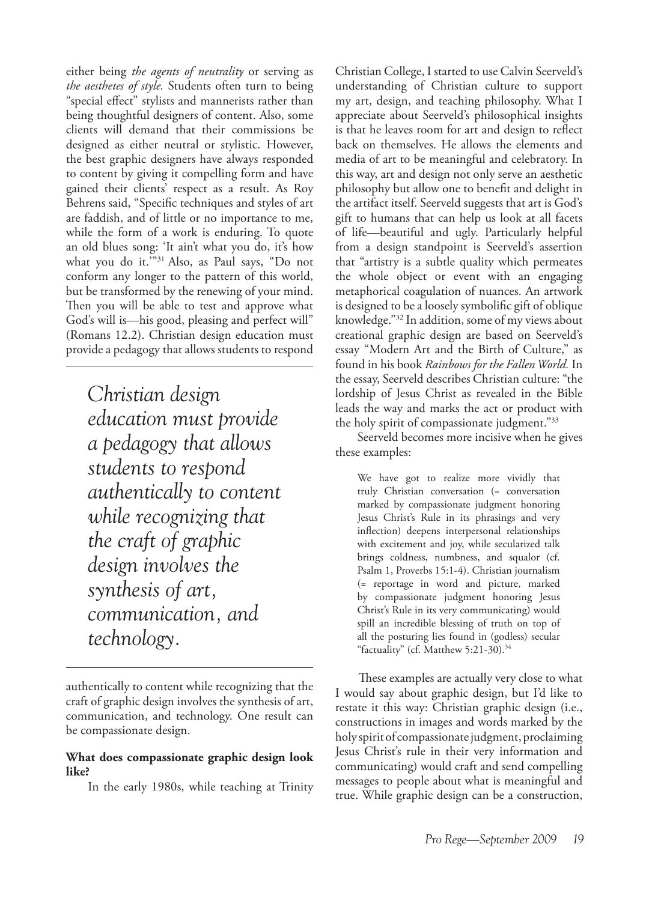either being *the agents of neutrality* or serving as *the aesthetes of style.* Students often turn to being "special effect" stylists and mannerists rather than being thoughtful designers of content. Also, some clients will demand that their commissions be designed as either neutral or stylistic. However, the best graphic designers have always responded to content by giving it compelling form and have gained their clients' respect as a result. As Roy Behrens said, "Specific techniques and styles of art are faddish, and of little or no importance to me, while the form of a work is enduring. To quote an old blues song: 'It ain't what you do, it's how what you do it.<sup>5931</sup> Also, as Paul says, "Do not conform any longer to the pattern of this world, but be transformed by the renewing of your mind. Then you will be able to test and approve what God's will is—his good, pleasing and perfect will" (Romans 12.2). Christian design education must provide a pedagogy that allows students to respond

*Christian design education must provide a pedagogy that allows students to respond authentically to content while recognizing that the craft of graphic design involves the synthesis of art, communication, and technology.*

#### **What does compassionate graphic design look like?**

In the early 1980s, while teaching at Trinity

Christian College, I started to use Calvin Seerveld's understanding of Christian culture to support my art, design, and teaching philosophy. What I appreciate about Seerveld's philosophical insights is that he leaves room for art and design to reflect back on themselves. He allows the elements and media of art to be meaningful and celebratory. In this way, art and design not only serve an aesthetic philosophy but allow one to benefit and delight in the artifact itself. Seerveld suggests that art is God's gift to humans that can help us look at all facets of life—beautiful and ugly. Particularly helpful from a design standpoint is Seerveld's assertion that "artistry is a subtle quality which permeates the whole object or event with an engaging metaphorical coagulation of nuances. An artwork is designed to be a loosely symbolific gift of oblique knowledge."32 In addition, some of my views about creational graphic design are based on Seerveld's essay "Modern Art and the Birth of Culture," as found in his book *Rainbows for the Fallen World.* In the essay, Seerveld describes Christian culture: "the lordship of Jesus Christ as revealed in the Bible leads the way and marks the act or product with the holy spirit of compassionate judgment."33

Seerveld becomes more incisive when he gives these examples:

We have got to realize more vividly that truly Christian conversation (= conversation marked by compassionate judgment honoring Jesus Christ's Rule in its phrasings and very inflection) deepens interpersonal relationships with excitement and joy, while secularized talk brings coldness, numbness, and squalor (cf. Psalm 1, Proverbs 15:1-4). Christian journalism (= reportage in word and picture, marked by compassionate judgment honoring Jesus Christ's Rule in its very communicating) would spill an incredible blessing of truth on top of all the posturing lies found in (godless) secular "factuality" (cf. Matthew 5:21-30).<sup>34</sup>

These examples are actually very close to what I would say about graphic design, but I'd like to restate it this way: Christian graphic design (i.e., constructions in images and words marked by the holy spirit of compassionate judgment, proclaiming Jesus Christ's rule in their very information and communicating) would craft and send compelling messages to people about what is meaningful and true. While graphic design can be a construction,

authentically to content while recognizing that the craft of graphic design involves the synthesis of art, communication, and technology. One result can be compassionate design.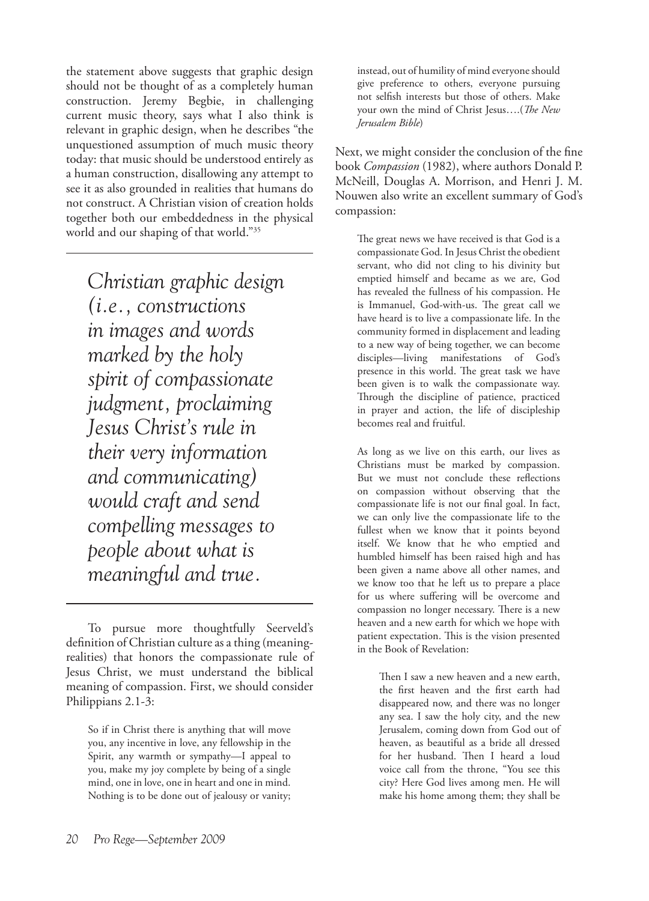the statement above suggests that graphic design should not be thought of as a completely human construction. Jeremy Begbie, in challenging current music theory, says what I also think is relevant in graphic design, when he describes "the unquestioned assumption of much music theory today: that music should be understood entirely as a human construction, disallowing any attempt to see it as also grounded in realities that humans do not construct. A Christian vision of creation holds together both our embeddedness in the physical world and our shaping of that world."35

*Christian graphic design (i.e., constructions in images and words marked by the holy spirit of compassionate judgment, proclaiming Jesus Christ's rule in their very information and communicating) would craft and send compelling messages to people about what is meaningful and true.*

To pursue more thoughtfully Seerveld's definition of Christian culture as a thing (meaningrealities) that honors the compassionate rule of Jesus Christ, we must understand the biblical meaning of compassion. First, we should consider Philippians 2.1-3:

So if in Christ there is anything that will move you, any incentive in love, any fellowship in the Spirit, any warmth or sympathy—I appeal to you, make my joy complete by being of a single mind, one in love, one in heart and one in mind. Nothing is to be done out of jealousy or vanity;

instead, out of humility of mind everyone should give preference to others, everyone pursuing not selfish interests but those of others. Make your own the mind of Christ Jesus….(*The New Jerusalem Bible*)

Next, we might consider the conclusion of the fine book *Compassion* (1982), where authors Donald P. McNeill, Douglas A. Morrison, and Henri J. M. Nouwen also write an excellent summary of God's compassion:

The great news we have received is that God is a compassionate God. In Jesus Christ the obedient servant, who did not cling to his divinity but emptied himself and became as we are, God has revealed the fullness of his compassion. He is Immanuel, God-with-us. The great call we have heard is to live a compassionate life. In the community formed in displacement and leading to a new way of being together, we can become disciples—living manifestations of God's presence in this world. The great task we have been given is to walk the compassionate way. Through the discipline of patience, practiced in prayer and action, the life of discipleship becomes real and fruitful.

As long as we live on this earth, our lives as Christians must be marked by compassion. But we must not conclude these reflections on compassion without observing that the compassionate life is not our final goal. In fact, we can only live the compassionate life to the fullest when we know that it points beyond itself. We know that he who emptied and humbled himself has been raised high and has been given a name above all other names, and we know too that he left us to prepare a place for us where suffering will be overcome and compassion no longer necessary. There is a new heaven and a new earth for which we hope with patient expectation. This is the vision presented in the Book of Revelation:

> Then I saw a new heaven and a new earth, the first heaven and the first earth had disappeared now, and there was no longer any sea. I saw the holy city, and the new Jerusalem, coming down from God out of heaven, as beautiful as a bride all dressed for her husband. Then I heard a loud voice call from the throne, "You see this city? Here God lives among men. He will make his home among them; they shall be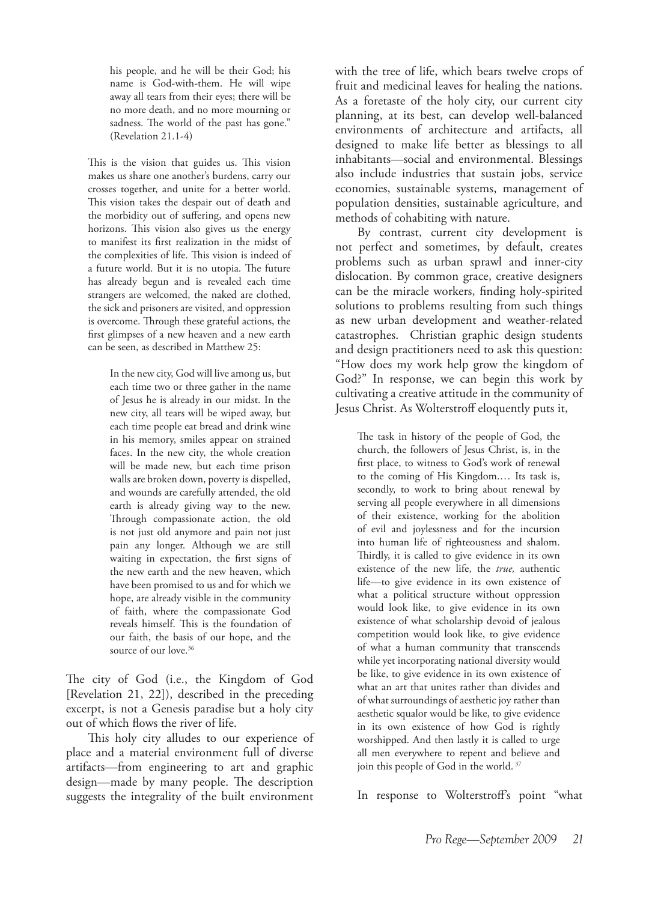his people, and he will be their God; his name is God-with-them. He will wipe away all tears from their eyes; there will be no more death, and no more mourning or sadness. The world of the past has gone." (Revelation 21.1-4)

This is the vision that guides us. This vision makes us share one another's burdens, carry our crosses together, and unite for a better world. This vision takes the despair out of death and the morbidity out of suffering, and opens new horizons. This vision also gives us the energy to manifest its first realization in the midst of the complexities of life. This vision is indeed of a future world. But it is no utopia. The future has already begun and is revealed each time strangers are welcomed, the naked are clothed, the sick and prisoners are visited, and oppression is overcome. Through these grateful actions, the first glimpses of a new heaven and a new earth can be seen, as described in Matthew 25:

> In the new city, God will live among us, but each time two or three gather in the name of Jesus he is already in our midst. In the new city, all tears will be wiped away, but each time people eat bread and drink wine in his memory, smiles appear on strained faces. In the new city, the whole creation will be made new, but each time prison walls are broken down, poverty is dispelled, and wounds are carefully attended, the old earth is already giving way to the new. Through compassionate action, the old is not just old anymore and pain not just pain any longer. Although we are still waiting in expectation, the first signs of the new earth and the new heaven, which have been promised to us and for which we hope, are already visible in the community of faith, where the compassionate God reveals himself. This is the foundation of our faith, the basis of our hope, and the source of our love.<sup>36</sup>

The city of God (i.e., the Kingdom of God [Revelation 21, 22]), described in the preceding excerpt, is not a Genesis paradise but a holy city out of which flows the river of life.

This holy city alludes to our experience of place and a material environment full of diverse artifacts—from engineering to art and graphic design—made by many people. The description suggests the integrality of the built environment

with the tree of life, which bears twelve crops of fruit and medicinal leaves for healing the nations. As a foretaste of the holy city, our current city planning, at its best, can develop well-balanced environments of architecture and artifacts, all designed to make life better as blessings to all inhabitants—social and environmental. Blessings also include industries that sustain jobs, service economies, sustainable systems, management of population densities, sustainable agriculture, and methods of cohabiting with nature.

By contrast, current city development is not perfect and sometimes, by default, creates problems such as urban sprawl and inner-city dislocation. By common grace, creative designers can be the miracle workers, finding holy-spirited solutions to problems resulting from such things as new urban development and weather-related catastrophes. Christian graphic design students and design practitioners need to ask this question: "How does my work help grow the kingdom of God?" In response, we can begin this work by cultivating a creative attitude in the community of Jesus Christ. As Wolterstroff eloquently puts it,

The task in history of the people of God, the church, the followers of Jesus Christ, is, in the first place, to witness to God's work of renewal to the coming of His Kingdom.… Its task is, secondly, to work to bring about renewal by serving all people everywhere in all dimensions of their existence, working for the abolition of evil and joylessness and for the incursion into human life of righteousness and shalom. Thirdly, it is called to give evidence in its own existence of the new life, the *true,* authentic life—to give evidence in its own existence of what a political structure without oppression would look like, to give evidence in its own existence of what scholarship devoid of jealous competition would look like, to give evidence of what a human community that transcends while yet incorporating national diversity would be like, to give evidence in its own existence of what an art that unites rather than divides and of what surroundings of aesthetic joy rather than aesthetic squalor would be like, to give evidence in its own existence of how God is rightly worshipped. And then lastly it is called to urge all men everywhere to repent and believe and join this people of God in the world. 37

In response to Wolterstroff's point "what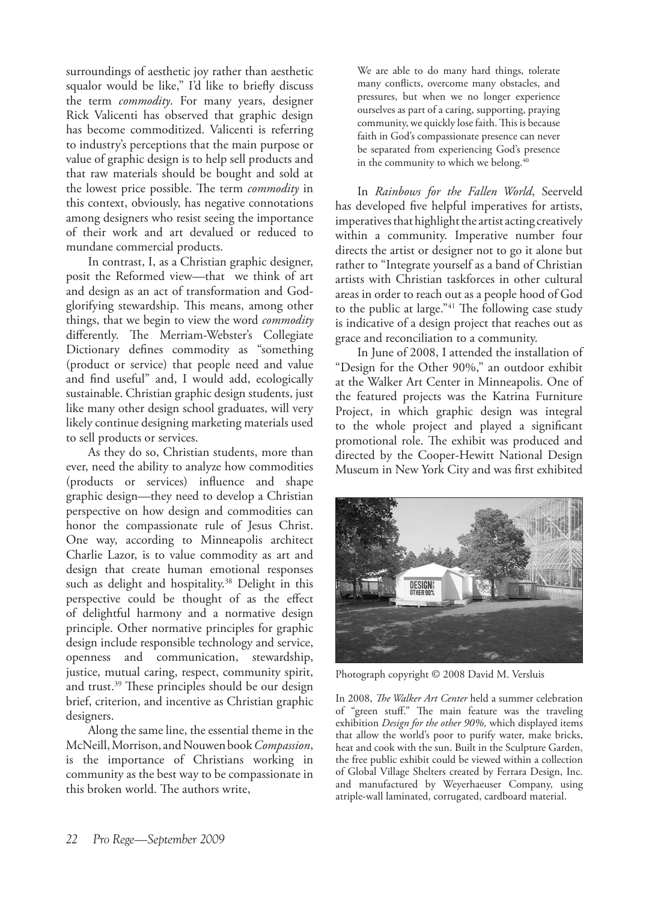surroundings of aesthetic joy rather than aesthetic squalor would be like," I'd like to briefly discuss the term *commodity*. For many years, designer Rick Valicenti has observed that graphic design has become commoditized. Valicenti is referring to industry's perceptions that the main purpose or value of graphic design is to help sell products and that raw materials should be bought and sold at the lowest price possible. The term *commodity* in this context, obviously, has negative connotations among designers who resist seeing the importance of their work and art devalued or reduced to mundane commercial products.

In contrast, I, as a Christian graphic designer, posit the Reformed view—that we think of art and design as an act of transformation and Godglorifying stewardship. This means, among other things, that we begin to view the word *commodity* differently. The Merriam-Webster's Collegiate Dictionary defines commodity as "something (product or service) that people need and value and find useful" and, I would add, ecologically sustainable. Christian graphic design students, just like many other design school graduates, will very likely continue designing marketing materials used to sell products or services.

As they do so, Christian students, more than ever, need the ability to analyze how commodities (products or services) influence and shape graphic design—they need to develop a Christian perspective on how design and commodities can honor the compassionate rule of Jesus Christ. One way, according to Minneapolis architect Charlie Lazor, is to value commodity as art and design that create human emotional responses such as delight and hospitality.<sup>38</sup> Delight in this perspective could be thought of as the effect of delightful harmony and a normative design principle. Other normative principles for graphic design include responsible technology and service, openness and communication, stewardship, justice, mutual caring, respect, community spirit, and trust.<sup>39</sup> These principles should be our design brief, criterion, and incentive as Christian graphic designers.

Along the same line, the essential theme in the McNeill, Morrison, and Nouwen book *Compassion*, is the importance of Christians working in community as the best way to be compassionate in this broken world. The authors write,

We are able to do many hard things, tolerate many conflicts, overcome many obstacles, and pressures, but when we no longer experience ourselves as part of a caring, supporting, praying community, we quickly lose faith. This is because faith in God's compassionate presence can never be separated from experiencing God's presence in the community to which we belong.<sup>40</sup>

In *Rainbows for the Fallen World*, Seerveld has developed five helpful imperatives for artists, imperatives that highlight the artist acting creatively within a community. Imperative number four directs the artist or designer not to go it alone but rather to "Integrate yourself as a band of Christian artists with Christian taskforces in other cultural areas in order to reach out as a people hood of God to the public at large."<sup>41</sup> The following case study is indicative of a design project that reaches out as grace and reconciliation to a community.

In June of 2008, I attended the installation of "Design for the Other 90%," an outdoor exhibit at the Walker Art Center in Minneapolis. One of the featured projects was the Katrina Furniture Project, in which graphic design was integral to the whole project and played a significant promotional role. The exhibit was produced and directed by the Cooper-Hewitt National Design Museum in New York City and was first exhibited



Photograph copyright © 2008 David M. Versluis

In 2008, *The Walker Art Center* held a summer celebration of "green stuff." The main feature was the traveling exhibition *Design for the other 90%,* which displayed items that allow the world's poor to purify water, make bricks, heat and cook with the sun. Built in the Sculpture Garden, the free public exhibit could be viewed within a collection of Global Village Shelters created by Ferrara Design, Inc. and manufactured by Weyerhaeuser Company, using atriple-wall laminated, corrugated, cardboard material.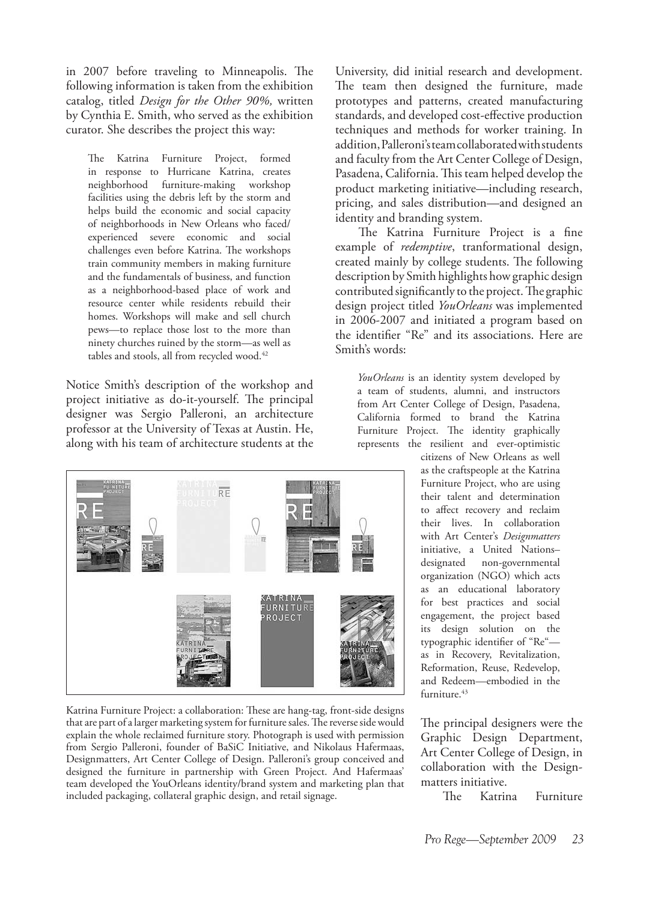in 2007 before traveling to Minneapolis. The following information is taken from the exhibition catalog, titled *Design for the Other 90%,* written by Cynthia E. Smith, who served as the exhibition curator. She describes the project this way:

The Katrina Furniture Project, formed in response to Hurricane Katrina, creates neighborhood furniture-making workshop facilities using the debris left by the storm and helps build the economic and social capacity of neighborhoods in New Orleans who faced/ experienced severe economic and social challenges even before Katrina. The workshops train community members in making furniture and the fundamentals of business, and function as a neighborhood-based place of work and resource center while residents rebuild their homes. Workshops will make and sell church pews—to replace those lost to the more than ninety churches ruined by the storm—as well as tables and stools, all from recycled wood.<sup>42</sup>

Notice Smith's description of the workshop and project initiative as do-it-yourself. The principal designer was Sergio Palleroni, an architecture professor at the University of Texas at Austin. He, along with his team of architecture students at the



Katrina Furniture Project: a collaboration: These are hang-tag, front-side designs that are part of a larger marketing system for furniture sales. The reverse side would explain the whole reclaimed furniture story. Photograph is used with permission from Sergio Palleroni, founder of BaSiC Initiative, and Nikolaus Hafermaas, Designmatters, Art Center College of Design. Palleroni's group conceived and designed the furniture in partnership with Green Project. And Hafermaas' team developed the YouOrleans identity/brand system and marketing plan that included packaging, collateral graphic design, and retail signage.

University, did initial research and development. The team then designed the furniture, made prototypes and patterns, created manufacturing standards, and developed cost-effective production techniques and methods for worker training. In addition, Palleroni's team collaborated with students and faculty from the Art Center College of Design, Pasadena, California. This team helped develop the product marketing initiative—including research, pricing, and sales distribution—and designed an identity and branding system.

The Katrina Furniture Project is a fine example of *redemptive*, tranformational design, created mainly by college students. The following description by Smith highlights how graphic design contributed significantly to the project. The graphic design project titled *YouOrleans* was implemented in 2006-2007 and initiated a program based on the identifier "Re" and its associations. Here are Smith's words:

*YouOrleans* is an identity system developed by a team of students, alumni, and instructors from Art Center College of Design, Pasadena, California formed to brand the Katrina Furniture Project. The identity graphically represents the resilient and ever-optimistic

citizens of New Orleans as well as the craftspeople at the Katrina Furniture Project, who are using their talent and determination to affect recovery and reclaim their lives. In collaboration with Art Center's *Designmatters* initiative, a United Nations– designated non-governmental organization (NGO) which acts as an educational laboratory for best practices and social engagement, the project based its design solution on the typographic identifier of "Re" as in Recovery, Revitalization, Reformation, Reuse, Redevelop, and Redeem—embodied in the furniture.<sup>43</sup>

The principal designers were the Graphic Design Department, Art Center College of Design, in collaboration with the Designmatters initiative.

The Katrina Furniture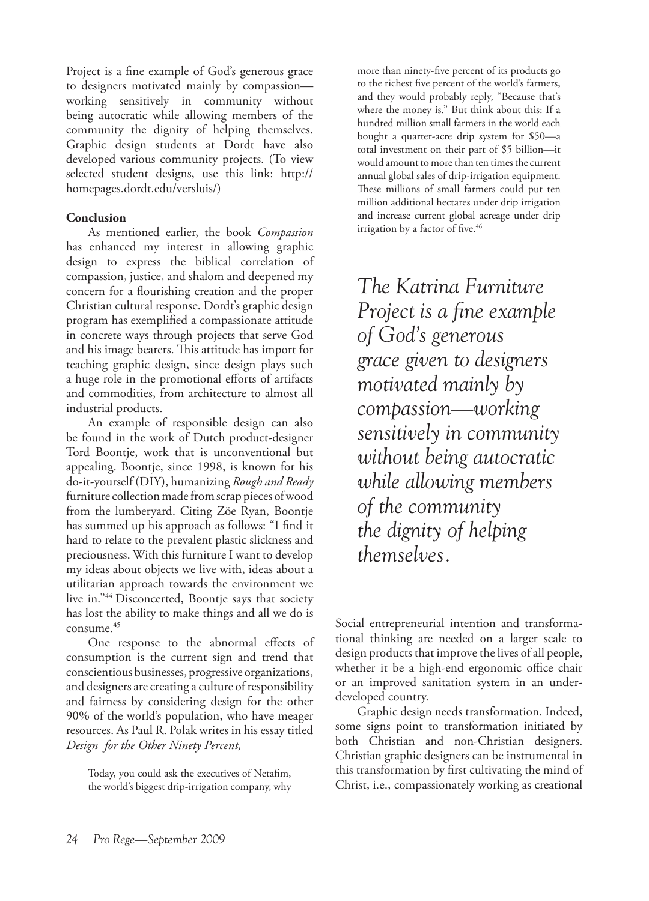Project is a fine example of God's generous grace to designers motivated mainly by compassion working sensitively in community without being autocratic while allowing members of the community the dignity of helping themselves. Graphic design students at Dordt have also developed various community projects. (To view selected student designs, use this link: http:// homepages.dordt.edu/versluis/)

#### **Conclusion**

As mentioned earlier, the book *Compassion* has enhanced my interest in allowing graphic design to express the biblical correlation of compassion, justice, and shalom and deepened my concern for a flourishing creation and the proper Christian cultural response. Dordt's graphic design program has exemplified a compassionate attitude in concrete ways through projects that serve God and his image bearers. This attitude has import for teaching graphic design, since design plays such a huge role in the promotional efforts of artifacts and commodities, from architecture to almost all industrial products.

An example of responsible design can also be found in the work of Dutch product-designer Tord Boontje, work that is unconventional but appealing. Boontje, since 1998, is known for his do-it-yourself (DIY), humanizing *Rough and Ready* furniture collection made from scrap pieces of wood from the lumberyard. Citing Zöe Ryan, Boontje has summed up his approach as follows: "I find it hard to relate to the prevalent plastic slickness and preciousness. With this furniture I want to develop my ideas about objects we live with, ideas about a utilitarian approach towards the environment we live in."44 Disconcerted, Boontje says that society has lost the ability to make things and all we do is consume.45

One response to the abnormal effects of consumption is the current sign and trend that conscientious businesses, progressive organizations, and designers are creating a culture of responsibility and fairness by considering design for the other 90% of the world's population, who have meager resources. As Paul R. Polak writes in his essay titled *Design for the Other Ninety Percent,*

Today, you could ask the executives of Netafim, the world's biggest drip-irrigation company, why

more than ninety-five percent of its products go to the richest five percent of the world's farmers, and they would probably reply, "Because that's where the money is." But think about this: If a hundred million small farmers in the world each bought a quarter-acre drip system for \$50—a total investment on their part of \$5 billion—it would amount to more than ten times the current annual global sales of drip-irrigation equipment. These millions of small farmers could put ten million additional hectares under drip irrigation and increase current global acreage under drip irrigation by a factor of five.<sup>46</sup>

*The Katrina Furniture Project is a fine example of God's generous grace given to designers motivated mainly by compassion—working sensitively in community without being autocratic while allowing members of the community the dignity of helping themselves.* 

Social entrepreneurial intention and transformational thinking are needed on a larger scale to design products that improve the lives of all people, whether it be a high-end ergonomic office chair or an improved sanitation system in an underdeveloped country.

Graphic design needs transformation. Indeed, some signs point to transformation initiated by both Christian and non-Christian designers. Christian graphic designers can be instrumental in this transformation by first cultivating the mind of Christ, i.e., compassionately working as creational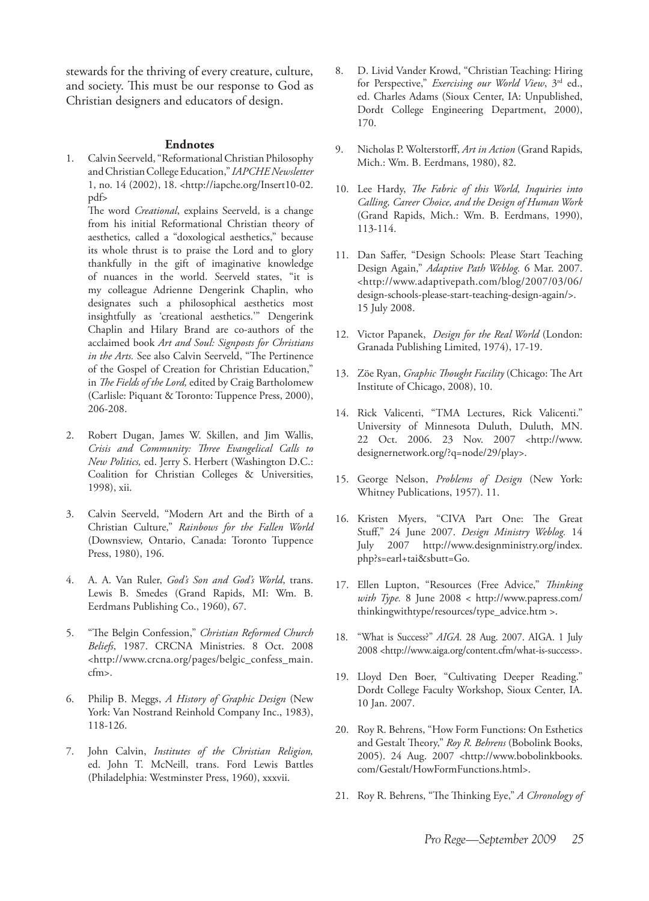stewards for the thriving of every creature, culture, and society. This must be our response to God as Christian designers and educators of design.

#### **Endnotes**

1. Calvin Seerveld, "Reformational Christian Philosophy and Christian College Education," *IAPCHE Newsletter* 1, no. 14 (2002), 18. <http://iapche.org/Insert10-02. pdf>

The word *Creational*, explains Seerveld, is a change from his initial Reformational Christian theory of aesthetics, called a "doxological aesthetics," because its whole thrust is to praise the Lord and to glory thankfully in the gift of imaginative knowledge of nuances in the world. Seerveld states, "it is my colleague Adrienne Dengerink Chaplin, who designates such a philosophical aesthetics most insightfully as 'creational aesthetics.'" Dengerink Chaplin and Hilary Brand are co-authors of the acclaimed book *Art and Soul: Signposts for Christians in the Arts.* See also Calvin Seerveld, "The Pertinence of the Gospel of Creation for Christian Education," in *The Fields of the Lord,* edited by Craig Bartholomew (Carlisle: Piquant & Toronto: Tuppence Press, 2000), 206-208.

- 2. Robert Dugan, James W. Skillen, and Jim Wallis, *Crisis and Community: Three Evangelical Calls to New Politics,* ed. Jerry S. Herbert (Washington D.C.: Coalition for Christian Colleges & Universities, 1998), xii.
- 3. Calvin Seerveld, "Modern Art and the Birth of a Christian Culture," *Rainbows for the Fallen World*  (Downsview, Ontario, Canada: Toronto Tuppence Press, 1980), 196.
- 4. A. A. Van Ruler, *God's Son and God's World*, trans. Lewis B. Smedes (Grand Rapids, MI: Wm. B. Eerdmans Publishing Co., 1960), 67.
- 5. "The Belgin Confession," *Christian Reformed Church Beliefs*, 1987. CRCNA Ministries. 8 Oct. 2008 <http://www.crcna.org/pages/belgic\_confess\_main. cfm>.
- 6. Philip B. Meggs, *A History of Graphic Design* (New York: Van Nostrand Reinhold Company Inc., 1983), 118-126.
- 7. John Calvin, *Institutes of the Christian Religion,*  ed. John T. McNeill, trans. Ford Lewis Battles (Philadelphia: Westminster Press, 1960), xxxvii.
- 8. D. Livid Vander Krowd, "Christian Teaching: Hiring for Perspective," *Exercising our World View*, 3rd ed., ed. Charles Adams (Sioux Center, IA: Unpublished, Dordt College Engineering Department, 2000), 170.
- 9. Nicholas P. Wolterstorff, *Art in Action* (Grand Rapids, Mich.: Wm. B. Eerdmans, 1980), 82.
- 10. Lee Hardy, *The Fabric of this World, Inquiries into Calling, Career Choice, and the Design of Human Work*  (Grand Rapids, Mich.: Wm. B. Eerdmans, 1990), 113-114.
- 11. Dan Saffer, "Design Schools: Please Start Teaching Design Again," *Adaptive Path Weblog.* 6 Mar. 2007. <http://www.adaptivepath.com/blog/2007/03/06/ design-schools-please-start-teaching-design-again/>. 15 July 2008.
- 12. Victor Papanek, *Design for the Real World* (London: Granada Publishing Limited, 1974), 17-19.
- 13. Zöe Ryan, *Graphic Thought Facility* (Chicago: The Art Institute of Chicago, 2008), 10.
- 14. Rick Valicenti, "TMA Lectures, Rick Valicenti." University of Minnesota Duluth, Duluth, MN. 22 Oct. 2006. 23 Nov. 2007 <http://www. designernetwork.org/?q=node/29/play>.
- 15. George Nelson, *Problems of Design* (New York: Whitney Publications, 1957). 11.
- 16. Kristen Myers, "CIVA Part One: The Great Stuff," 24 June 2007. *Design Ministry Weblog.* 14 July 2007 http://www.designministry.org/index. php?s=earl+tai&sbutt=Go.
- 17. Ellen Lupton, "Resources (Free Advice," *Thinking with Type.* 8 June 2008 < http://www.papress.com/ thinkingwithtype/resources/type\_advice.htm >.
- 18. "What is Success?" *AIGA*. 28 Aug. 2007. AIGA. 1 July 2008 <http://www.aiga.org/content.cfm/what-is-success>.
- 19. Lloyd Den Boer, "Cultivating Deeper Reading." Dordt College Faculty Workshop, Sioux Center, IA. 10 Jan. 2007.
- 20. Roy R. Behrens, "How Form Functions: On Esthetics and Gestalt Theory," *Roy R. Behrens* (Bobolink Books, 2005). 24 Aug. 2007 <http://www.bobolinkbooks. com/Gestalt/HowFormFunctions.html>.
- 21. Roy R. Behrens, "The Thinking Eye," *A Chronology of*